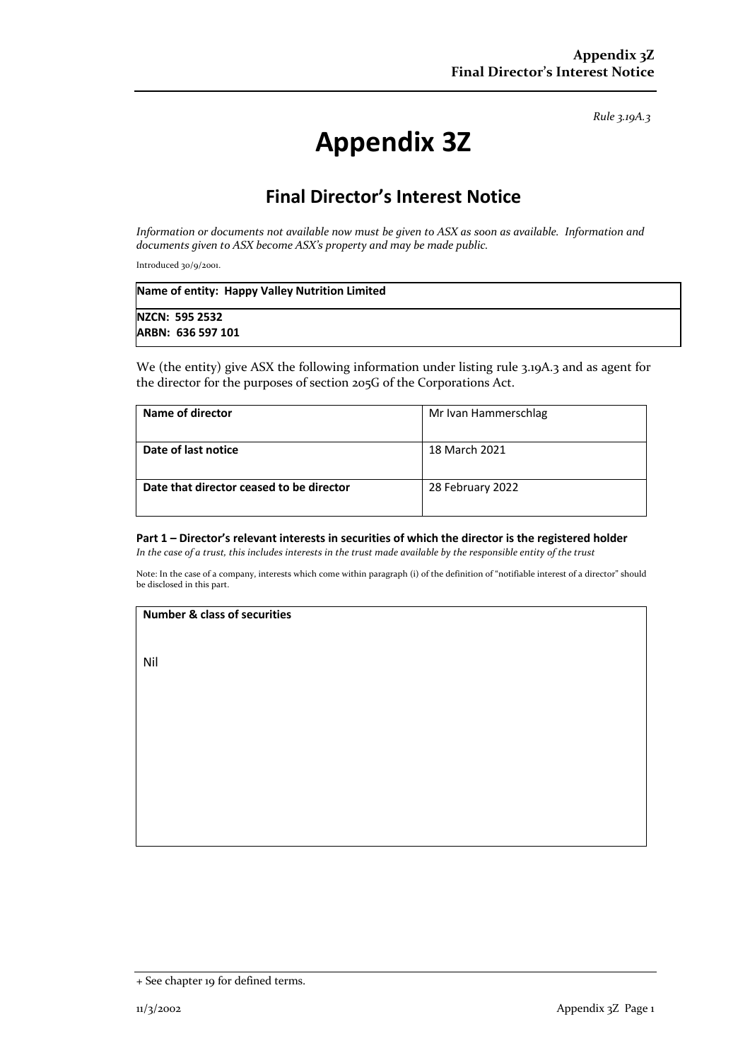*Rule 3.19A.3*

# **Appendix 3Z**

## **Final Director's Interest Notice**

*Information or documents not available now must be given to ASX as soon as available. Information and documents given to ASX become ASX's property and may be made public.*

Introduced 30/9/2001.

| Name of entity: Happy Valley Nutrition Limited |  |
|------------------------------------------------|--|
| <b>NZCN: 595 2532</b>                          |  |
| ARBN: 636 597 101                              |  |

We (the entity) give ASX the following information under listing rule 3.19A.3 and as agent for the director for the purposes of section 205G of the Corporations Act.

| Name of director                         | Mr Ivan Hammerschlag |
|------------------------------------------|----------------------|
| Date of last notice                      | 18 March 2021        |
| Date that director ceased to be director | 28 February 2022     |

#### **Part 1 – Director's relevant interests in securities of which the director is the registered holder**

*In the case of a trust, this includes interests in the trust made available by the responsible entity of the trust*

Note: In the case of a company, interests which come within paragraph (i) of the definition of "notifiable interest of a director" should be disclosed in this part.

#### **Number & class of securities**

Nil

<sup>+</sup> See chapter 19 for defined terms.